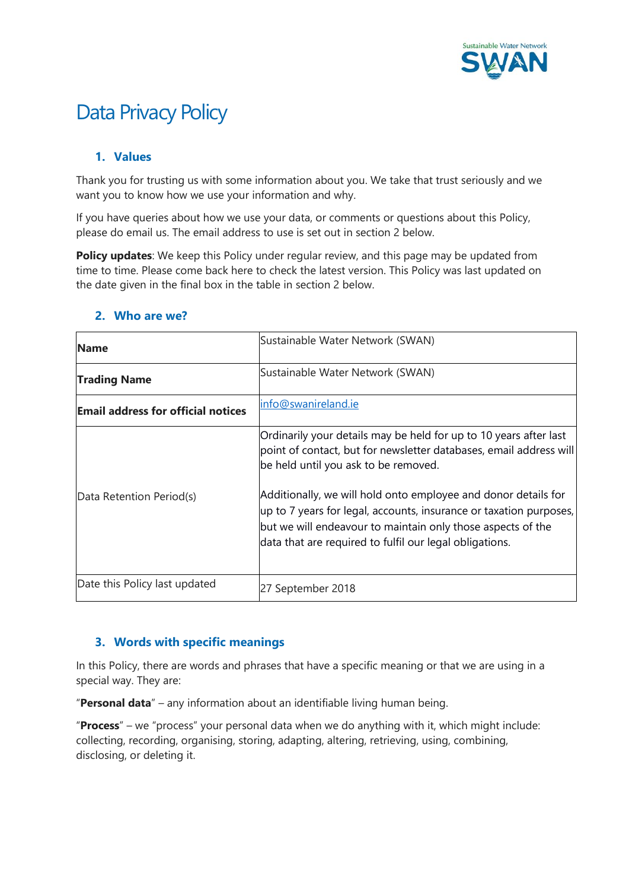

# Data Privacy Policy

# **1. Values**

Thank you for trusting us with some information about you. We take that trust seriously and we want you to know how we use your information and why.

If you have queries about how we use your data, or comments or questions about this Policy, please do email us. The email address to use is set out in section 2 below.

**Policy updates:** We keep this Policy under regular review, and this page may be updated from time to time. Please come back here to check the latest version. This Policy was last updated on the date given in the final box in the table in section 2 below.

| <b>Name</b>                               | Sustainable Water Network (SWAN)                                                                                                                                                                                                                               |
|-------------------------------------------|----------------------------------------------------------------------------------------------------------------------------------------------------------------------------------------------------------------------------------------------------------------|
| <b>Trading Name</b>                       | Sustainable Water Network (SWAN)                                                                                                                                                                                                                               |
| <b>Email address for official notices</b> | info@swanireland.ie                                                                                                                                                                                                                                            |
|                                           | Ordinarily your details may be held for up to 10 years after last<br>point of contact, but for newsletter databases, email address will<br>be held until you ask to be removed.                                                                                |
| Data Retention Period(s)                  | Additionally, we will hold onto employee and donor details for<br>up to 7 years for legal, accounts, insurance or taxation purposes,<br>but we will endeavour to maintain only those aspects of the<br>data that are required to fulfil our legal obligations. |
| Date this Policy last updated             | 27 September 2018                                                                                                                                                                                                                                              |

## **2. Who are we?**

## **3. Words with specific meanings**

In this Policy, there are words and phrases that have a specific meaning or that we are using in a special way. They are:

"**Personal data**" – any information about an identifiable living human being.

"**Process**" – we "process" your personal data when we do anything with it, which might include: collecting, recording, organising, storing, adapting, altering, retrieving, using, combining, disclosing, or deleting it.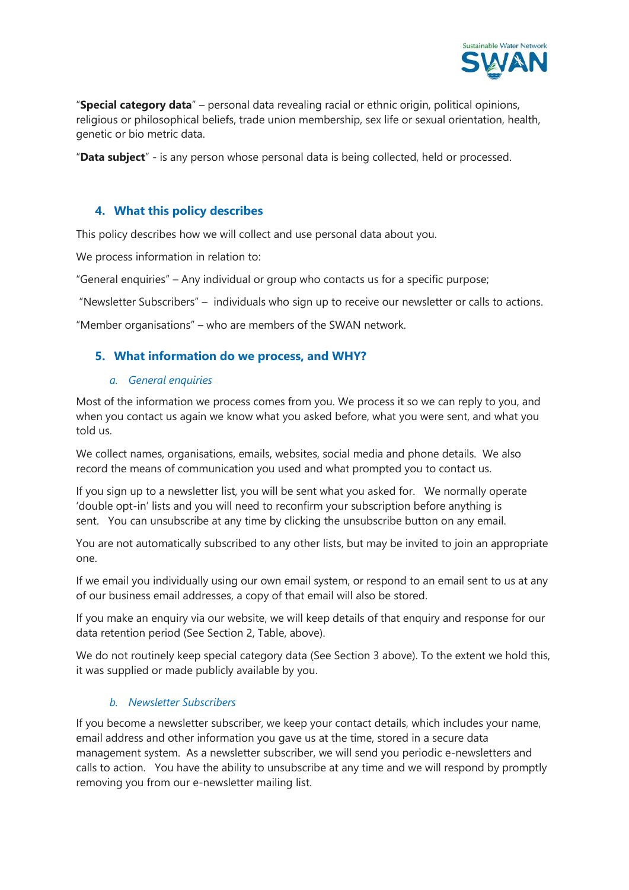

"**Special category data**" – personal data revealing racial or ethnic origin, political opinions, religious or philosophical beliefs, trade union membership, sex life or sexual orientation, health, genetic or bio metric data.

"**Data subject**" - is any person whose personal data is being collected, held or processed.

## **4. What this policy describes**

This policy describes how we will collect and use personal data about you.

We process information in relation to:

"General enquiries" – Any individual or group who contacts us for a specific purpose;

"Newsletter Subscribers" – individuals who sign up to receive our newsletter or calls to actions.

"Member organisations" – who are members of the SWAN network.

## **5. What information do we process, and WHY?**

#### *a. General enquiries*

Most of the information we process comes from you. We process it so we can reply to you, and when you contact us again we know what you asked before, what you were sent, and what you told us.

We collect names, organisations, emails, websites, social media and phone details. We also record the means of communication you used and what prompted you to contact us.

If you sign up to a newsletter list, you will be sent what you asked for. We normally operate 'double opt-in' lists and you will need to reconfirm your subscription before anything is sent. You can unsubscribe at any time by clicking the unsubscribe button on any email.

You are not automatically subscribed to any other lists, but may be invited to join an appropriate one.

If we email you individually using our own email system, or respond to an email sent to us at any of our business email addresses, a copy of that email will also be stored.

If you make an enquiry via our website, we will keep details of that enquiry and response for our data retention period (See Section 2, Table, above).

We do not routinely keep special category data (See Section 3 above). To the extent we hold this, it was supplied or made publicly available by you.

#### *b. Newsletter Subscribers*

If you become a newsletter subscriber, we keep your contact details, which includes your name, email address and other information you gave us at the time, stored in a secure data management system. As a newsletter subscriber, we will send you periodic e-newsletters and calls to action. You have the ability to unsubscribe at any time and we will respond by promptly removing you from our e-newsletter mailing list.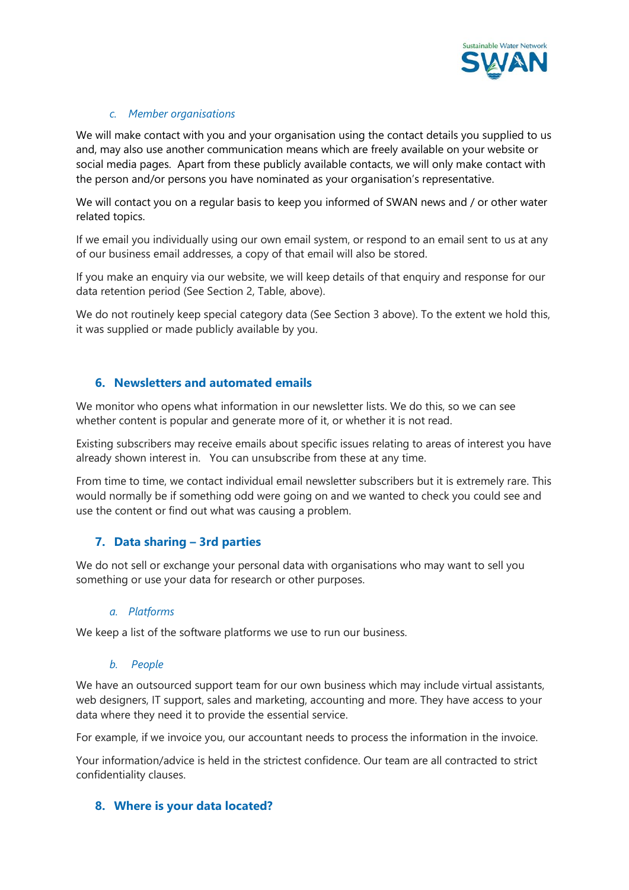

#### *c. Member organisations*

We will make contact with you and your organisation using the contact details you supplied to us and, may also use another communication means which are freely available on your website or social media pages. Apart from these publicly available contacts, we will only make contact with the person and/or persons you have nominated as your organisation's representative.

We will contact you on a regular basis to keep you informed of SWAN news and / or other water related topics.

If we email you individually using our own email system, or respond to an email sent to us at any of our business email addresses, a copy of that email will also be stored.

If you make an enquiry via our website, we will keep details of that enquiry and response for our data retention period (See Section 2, Table, above).

We do not routinely keep special category data (See Section 3 above). To the extent we hold this, it was supplied or made publicly available by you.

## **6. Newsletters and automated emails**

We monitor who opens what information in our newsletter lists. We do this, so we can see whether content is popular and generate more of it, or whether it is not read.

Existing subscribers may receive emails about specific issues relating to areas of interest you have already shown interest in. You can unsubscribe from these at any time.

From time to time, we contact individual email newsletter subscribers but it is extremely rare. This would normally be if something odd were going on and we wanted to check you could see and use the content or find out what was causing a problem.

## **7. Data sharing – 3rd parties**

We do not sell or exchange your personal data with organisations who may want to sell you something or use your data for research or other purposes.

#### *a. Platforms*

We keep a list of the software platforms we use to run our business.

#### *b. People*

We have an outsourced support team for our own business which may include virtual assistants, web designers, IT support, sales and marketing, accounting and more. They have access to your data where they need it to provide the essential service.

For example, if we invoice you, our accountant needs to process the information in the invoice.

Your information/advice is held in the strictest confidence. Our team are all contracted to strict confidentiality clauses.

## **8. Where is your data located?**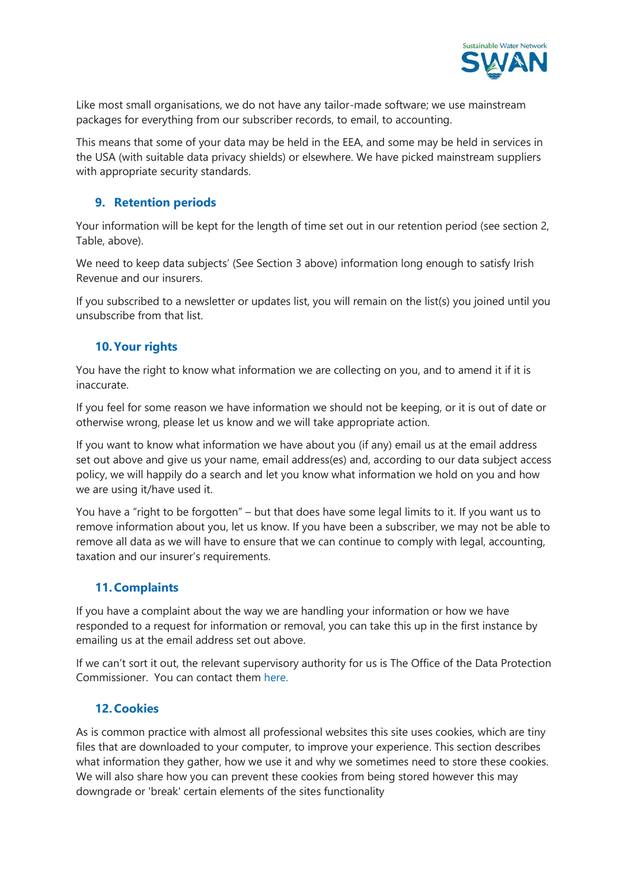

Like most small organisations, we do not have any tailor-made software; we use mainstream packages for everything from our subscriber records, to email, to accounting.

This means that some of your data may be held in the EEA, and some may be held in services in the USA (with suitable data privacy shields) or elsewhere. We have picked mainstream suppliers with appropriate security standards.

# **9. Retention periods**

Your information will be kept for the length of time set out in our retention period (see section 2, Table, above).

We need to keep data subjects' (See Section 3 above) information long enough to satisfy Irish Revenue and our insurers.

If you subscribed to a newsletter or updates list, you will remain on the list(s) you joined until you unsubscribe from that list.

# **10.Your rights**

You have the right to know what information we are collecting on you, and to amend it if it is inaccurate.

If you feel for some reason we have information we should not be keeping, or it is out of date or otherwise wrong, please let us know and we will take appropriate action.

If you want to know what information we have about you (if any) email us at the email address set out above and give us your name, email address(es) and, according to our data subject access policy, we will happily do a search and let you know what information we hold on you and how we are using it/have used it.

You have a "right to be forgotten" – but that does have some legal limits to it. If you want us to remove information about you, let us know. If you have been a subscriber, we may not be able to remove all data as we will have to ensure that we can continue to comply with legal, accounting, taxation and our insurer's requirements.

# **11.Complaints**

If you have a complaint about the way we are handling your information or how we have responded to a request for information or removal, you can take this up in the first instance by emailing us at the email address set out above.

If we can't sort it out, the relevant supervisory authority for us is The Office of the Data Protection Commissioner. You can contact them [here.](https://www.dataprotection.ie/docs/Home/4.htm)

## **12.Cookies**

As is common practice with almost all professional websites this site uses cookies, which are tiny files that are downloaded to your computer, to improve your experience. This section describes what information they gather, how we use it and why we sometimes need to store these cookies. We will also share how you can prevent these cookies from being stored however this may downgrade or 'break' certain elements of the sites functionality